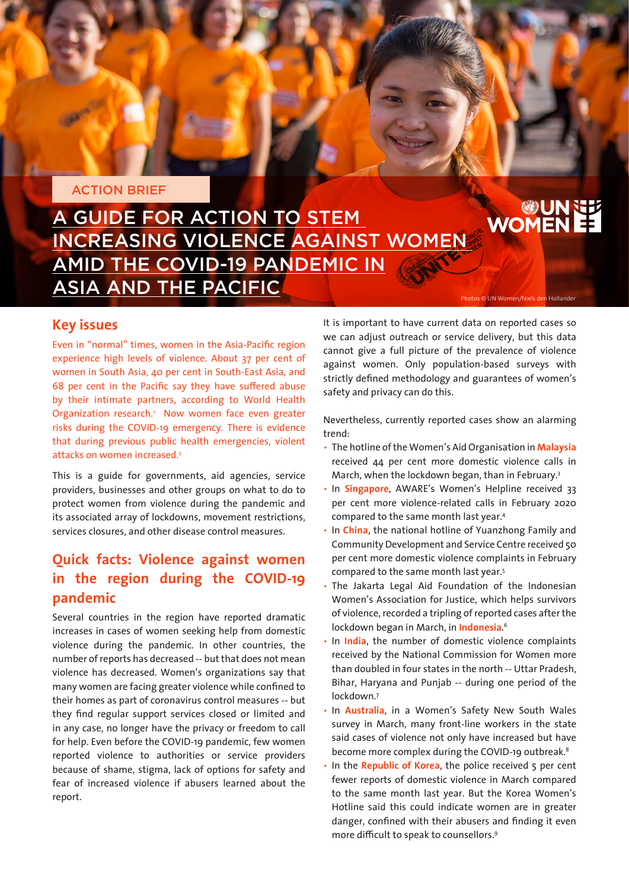#### ACTION BRIEF

# A GUIDE FOR ACTION TO STEM INCREASING VIOLENCE AGAINST WOMEN AMID THE COVID-19 PANDEMIC IN ASIA AND THE PACIFIC Photos © UN Women/Niels den Hollander

# **WOMENEE**

### **Key issues**

Even in "normal" times, women in the Asia-Pacific region experience high levels of violence. About 37 per cent of women in South Asia, 40 per cent in South-East Asia, and 68 per cent in the Pacific say they have suffered abuse by their intimate partners, according to World Health Organization research.<sup>1</sup> Now women face even greater risks during the COVID-19 emergency. There is evidence that during previous public health emergencies, violent attacks on women increased.<sup>2</sup>

This is a guide for governments, aid agencies, service providers, businesses and other groups on what to do to protect women from violence during the pandemic and its associated array of lockdowns, movement restrictions, services closures, and other disease control measures.

## **Quick facts: Violence against women in the region during the COVID-19 pandemic**

Several countries in the region have reported dramatic increases in cases of women seeking help from domestic violence during the pandemic. In other countries, the number of reports has decreased -- but that does not mean violence has decreased. Women's organizations say that many women are facing greater violence while confined to their homes as part of coronavirus control measures -- but they find regular support services closed or limited and in any case, no longer have the privacy or freedom to call for help. Even before the COVID-19 pandemic, few women reported violence to authorities or service providers because of shame, stigma, lack of options for safety and fear of increased violence if abusers learned about the report.

It is important to have current data on reported cases so we can adjust outreach or service delivery, but this data cannot give a full picture of the prevalence of violence against women. Only population-based surveys with strictly defined methodology and guarantees of women's safety and privacy can do this.

Nevertheless, currently reported cases show an alarming trend:

- The hotline of the Women's Aid Organisation in **Malaysia** received 44 per cent more domestic violence calls in March, when the lockdown began, than in February.3
- In **Singapore**, AWARE's Women's Helpline received 33 per cent more violence-related calls in February 2020 compared to the same month last year.4
- In **China**, the national hotline of Yuanzhong Family and Community Development and Service Centre received 50 per cent more domestic violence complaints in February compared to the same month last year.5
- The Jakarta Legal Aid Foundation of the Indonesian Women's Association for Justice, which helps survivors of violence, recorded a tripling of reported cases after the lockdown began in March, in **Indonesia**. 6
- In **India**, the number of domestic violence complaints received by the National Commission for Women more than doubled in four states in the north -- Uttar Pradesh, Bihar, Haryana and Punjab -- during one period of the lockdown.7
- In **Australia**, in a Women's Safety New South Wales survey in March, many front-line workers in the state said cases of violence not only have increased but have become more complex during the COVID-19 outbreak.<sup>8</sup>
- In the **Republic of Korea**, the police received 5 per cent fewer reports of domestic violence in March compared to the same month last year. But the Korea Women's Hotline said this could indicate women are in greater danger, confined with their abusers and finding it even more difficult to speak to counsellors.9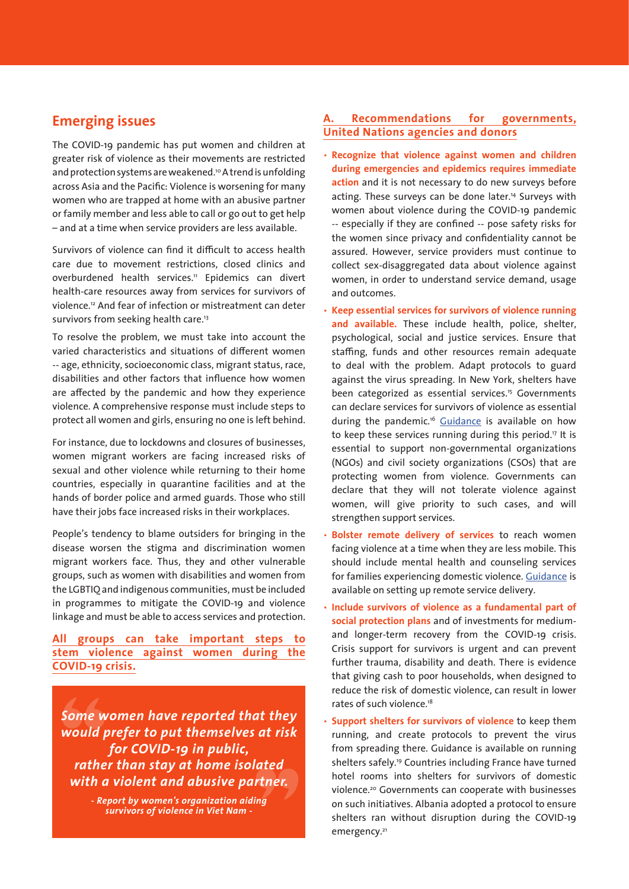## **Emerging issues**

The COVID-19 pandemic has put women and children at greater risk of violence as their movements are restricted and protection systems are weakened.<sup>10</sup> A trend is unfolding across Asia and the Pacific: Violence is worsening for many women who are trapped at home with an abusive partner or family member and less able to call or go out to get help – and at a time when service providers are less available.

Survivors of violence can find it difficult to access health care due to movement restrictions, closed clinics and overburdened health services.<sup>11</sup> Epidemics can divert health-care resources away from services for survivors of violence.<sup>12</sup> And fear of infection or mistreatment can deter survivors from seeking health care.<sup>13</sup>

To resolve the problem, we must take into account the varied characteristics and situations of different women -- age, ethnicity, socioeconomic class, migrant status, race, disabilities and other factors that influence how women are affected by the pandemic and how they experience violence. A comprehensive response must include steps to protect all women and girls, ensuring no one is left behind.

For instance, due to lockdowns and closures of businesses, women migrant workers are facing increased risks of sexual and other violence while returning to their home countries, especially in quarantine facilities and at the hands of border police and armed guards. Those who still have their jobs face increased risks in their workplaces.

People's tendency to blame outsiders for bringing in the disease worsen the stigma and discrimination women migrant workers face. Thus, they and other vulnerable groups, such as women with disabilities and women from the LGBTIQ and indigenous communities, must be included in programmes to mitigate the COVID-19 and violence linkage and must be able to access services and protection.

**All groups can take important steps to stem violence against women during the COVID-19 crisis.**

*Some women have reported that they would prefer to put themselves at risk for COVID-19 in public, rather than stay at home isolated with a violent and abusive partner.*

> *- Report by women's organization aiding survivors of violence in Viet Nam -*

#### **A. Recommendations for governments, United Nations agencies and donors**

- **Recognize that violence against women and children during emergencies and epidemics requires immediate action** and it is not necessary to do new surveys before acting. These surveys can be done later.<sup>14</sup> Surveys with women about violence during the COVID-19 pandemic -- especially if they are confined -- pose safety risks for the women since privacy and confidentiality cannot be assured. However, service providers must continue to collect sex-disaggregated data about violence against women, in order to understand service demand, usage and outcomes.
- **Keep essential services for survivors of violence running and available.** These include health, police, shelter, psychological, social and justice services. Ensure that staffing, funds and other resources remain adequate to deal with the problem. Adapt protocols to guard against the virus spreading. In New York, shelters have been categorized as essential services.<sup>15</sup> Governments can declare services for survivors of violence as essential during the pandemic.<sup>16</sup> [Guidance](https://gbvaor.net/thematic-areas?term_node_tid_depth_1%5B121%5D=121) is available on how to keep these services running during this period.17 It is essential to support non-governmental organizations (NGOs) and civil society organizations (CSOs) that are protecting women from violence. Governments can declare that they will not tolerate violence against women, will give priority to such cases, and will strengthen support services.
- **Bolster remote delivery of services** to reach women facing violence at a time when they are less mobile. This should include mental health and counseling services for families experiencing domestic violence. [Guidance](https://reliefweb.int/sites/reliefweb.int/files/resources/GBV-Mobile-and-Remote-Service-Delivery-Guidelines_-final.pdf) is available on setting up remote service delivery.
- **Include survivors of violence as a fundamental part of social protection plans** and of investments for mediumand longer-term recovery from the COVID-19 crisis. Crisis support for survivors is urgent and can prevent further trauma, disability and death. There is evidence that giving cash to poor households, when designed to reduce the risk of domestic violence, can result in lower rates of such violence.<sup>18</sup>
- **Support shelters for survivors of violence** to keep them running, and create protocols to prevent the virus from spreading there. Guidance is available on running shelters safely.19 Countries including France have turned hotel rooms into shelters for survivors of domestic violence.20 Governments can cooperate with businesses on such initiatives. Albania adopted a protocol to ensure shelters ran without disruption during the COVID-19 emergency.<sup>21</sup>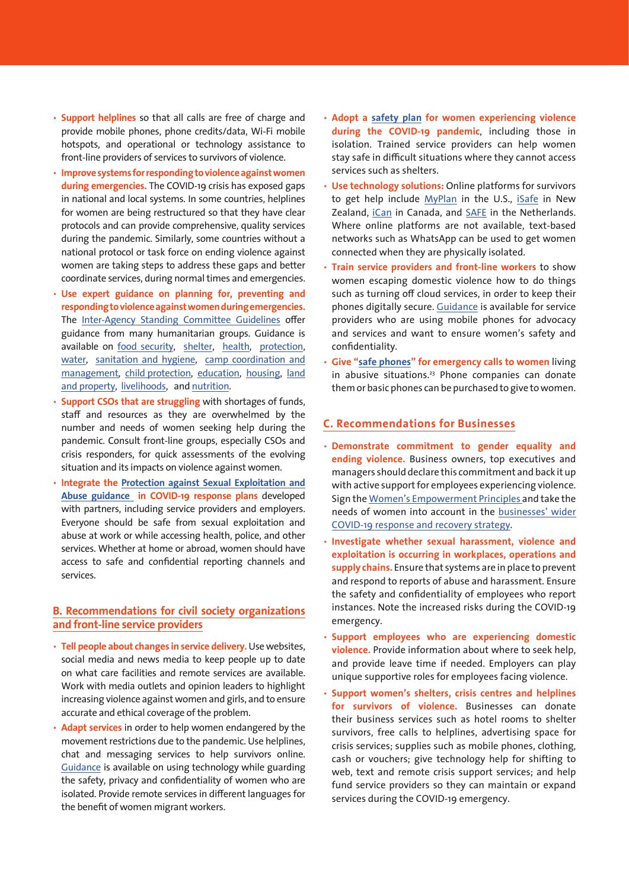- **Support helplines** so that all calls are free of charge and provide mobile phones, phone credits/data, Wi-Fi mobile hotspots, and operational or technology assistance to front-line providers of services to survivors of violence.
- **Improve systems for responding to violence against women during emergencies.** The COVID-19 crisis has exposed gaps in national and local systems. In some countries, helplines for women are being restructured so that they have clear protocols and can provide comprehensive, quality services during the pandemic. Similarly, some countries without a national protocol or task force on ending violence against women are taking steps to address these gaps and better coordinate services, during normal times and emergencies.
- **Use expert guidance on planning for, preventing and responding to violence against women during emergencies.**  The [Inter-Agency Standing Committee Guidelines](https://gbvguidelines.org/en/pocketguide/) offer guidance from many humanitarian groups. Guidance is available on [food security](https://gbvguidelines.org/wp/wp-content/uploads/2015/09/TAG-FSA-08_26_2015.pdf), [shelter](https://gbvguidelines.org/wp/wp-content/uploads/2015/09/TAG-shelter-08-26-2015.pdf), [health](https://gbvguidelines.org/wp/wp-content/uploads/2015/09/TAG-health-08_26_2015.pdf), [protection,](https://gbvguidelines.org/wp/wp-content/uploads/2015/09/TAG-protection-08_26_2015.pdf) [water](https://gbvguidelines.org/wp/wp-content/uploads/2015/09/TAG-wash-08_26_2015.pdf), [sanitation and hygiene](https://gbvguidelines.org/wp/wp-content/uploads/2015/09/TAG-wash-08_26_2015.pdf), [camp coordination and](https://gbvguidelines.org/wp/wp-content/uploads/2015/09/TAG-CCCM-08_26_2015.pdf) [management](https://gbvguidelines.org/wp/wp-content/uploads/2015/09/TAG-CCCM-08_26_2015.pdf), [child protection](https://gbvguidelines.org/wp/wp-content/uploads/2015/09/TAG-child-protection-08_26_2015.pdf), [education](https://gbvguidelines.org/wp/wp-content/uploads/2015/09/TAG-EDUCATION-08_26_2015.pdf), [housing](https://gbvguidelines.org/wp/wp-content/uploads/2015/09/TAG-HLP-08_26_2015.pdf), [land](https://gbvguidelines.org/wp/wp-content/uploads/2015/09/TAG-HLP-08_26_2015.pdf) [and property](https://gbvguidelines.org/wp/wp-content/uploads/2015/09/TAG-HLP-08_26_2015.pdf), [livelihoods](https://gbvguidelines.org/wp/wp-content/uploads/2015/09/TAG-livelihood-08_26_2015.pdf), and [nutrition.](https://gbvguidelines.org/wp/wp-content/uploads/2015/09/TAG-nutrition-08_26_2015.pdf)
- **Support CSOs that are struggling** with shortages of funds, staff and resources as they are overwhelmed by the number and needs of women seeking help during the pandemic. Consult front-line groups, especially CSOs and crisis responders, for quick assessments of the evolving situation and its impacts on violence against women.
- **Integrate the [Protection against Sexual Exploitation and](https://interagencystandingcommittee.org/other/interim-technical-note-protection-sexual-exploitation-and-abuse-psea-during-covid-19-response) [Abuse guidance](https://interagencystandingcommittee.org/other/interim-technical-note-protection-sexual-exploitation-and-abuse-psea-during-covid-19-response) in COVID-19 response plans** developed with partners, including service providers and employers. Everyone should be safe from sexual exploitation and abuse at work or while accessing health, police, and other services. Whether at home or abroad, women should have access to safe and confidential reporting channels and services.

#### **B. Recommendations for civil society organizations and front-line service providers**

- **Tell people about changes in service delivery.** Use websites, social media and news media to keep people up to date on what care facilities and remote services are available. Work with media outlets and opinion leaders to highlight increasing violence against women and girls, and to ensure accurate and ethical coverage of the problem.
- **Adapt services** in order to help women endangered by the movement restrictions due to the pandemic. Use helplines, chat and messaging services to help survivors online. [Guidance](https://www.techsafety.org/digital-services-during-public-health-crises) is available on using technology while guarding the safety, privacy and confidentiality of women who are isolated. Provide remote services in different languages for the benefit of women migrant workers.
- **Adopt a [safety plan](https://www.thehotline.org/help/path-to-safety/) for women experiencing violence during the COVID-19 pandemic**, including those in isolation. Trained service providers can help women stay safe in difficult situations where they cannot access services such as shelters.
- **Use technology solutions:** Online platforms for survivors to get help include [MyPlan](https://www.myplanapp.org/home) in the U.S., [iSafe](https://www.isafe.aut.ac.nz/) in New Zealand, [iCan](https://icanplan4safety.ca/) in Canada, and [SAFE](https://www.safewomen.nl/) in the Netherlands. Where online platforms are not available, text-based networks such as WhatsApp can be used to get women connected when they are physically isolated.
- **Train service providers and front-line workers** to show women escaping domestic violence how to do things such as turning off cloud services, in order to keep their phones digitally secure. [Guidance](https://www.techsafety.org/resources-agencyuse/mobilecomputing-bestpractices) is available for service providers who are using mobile phones for advocacy and services and want to ensure women's safety and confidentiality.
- **Give "[safe phones](https://www.reuters.com/article/health-coronavirus-australia-women/australia-coronavirus-lockdown-pushes-safe-phones-demand-for-women-idUSL8N2BH1ZU)" for emergency calls to women** living in abusive situations.<sup>23</sup> Phone companies can donate them or basic phones can be purchased to give to women.

#### **C. Recommendations for Businesses**

- **Demonstrate commitment to gender equality and ending violence.** Business owners, top executives and managers should declare this commitment and back it up with active support for employees experiencing violence. Sign the [Women's Empowerment Principles](https://www.weps.org/join) and take the needs of women into account in the [businesses' wider](https://asiapacific.unwomen.org/en/digital-library/publications/2020/04/guidance-for-action-gender-sensitive-private-sector-response-to-covid-19) [COVID-19 response and recovery strategy](https://asiapacific.unwomen.org/en/digital-library/publications/2020/04/guidance-for-action-gender-sensitive-private-sector-response-to-covid-19).
- **Investigate whether sexual harassment, violence and exploitation is occurring in workplaces, operations and supply chains.** Ensure that systems are in place to prevent and respond to reports of abuse and harassment. Ensure the safety and confidentiality of employees who report instances. Note the increased risks during the COVID-19 emergency.
- **Support employees who are experiencing domestic violence.** Provide information about where to seek help, and provide leave time if needed. Employers can play unique supportive roles for employees facing violence.
- **Support women's shelters, crisis centres and helplines for survivors of violence.** Businesses can donate their business services such as hotel rooms to shelter survivors, free calls to helplines, advertising space for crisis services; supplies such as mobile phones, clothing, cash or vouchers; give technology help for shifting to web, text and remote crisis support services; and help fund service providers so they can maintain or expand services during the COVID-19 emergency.